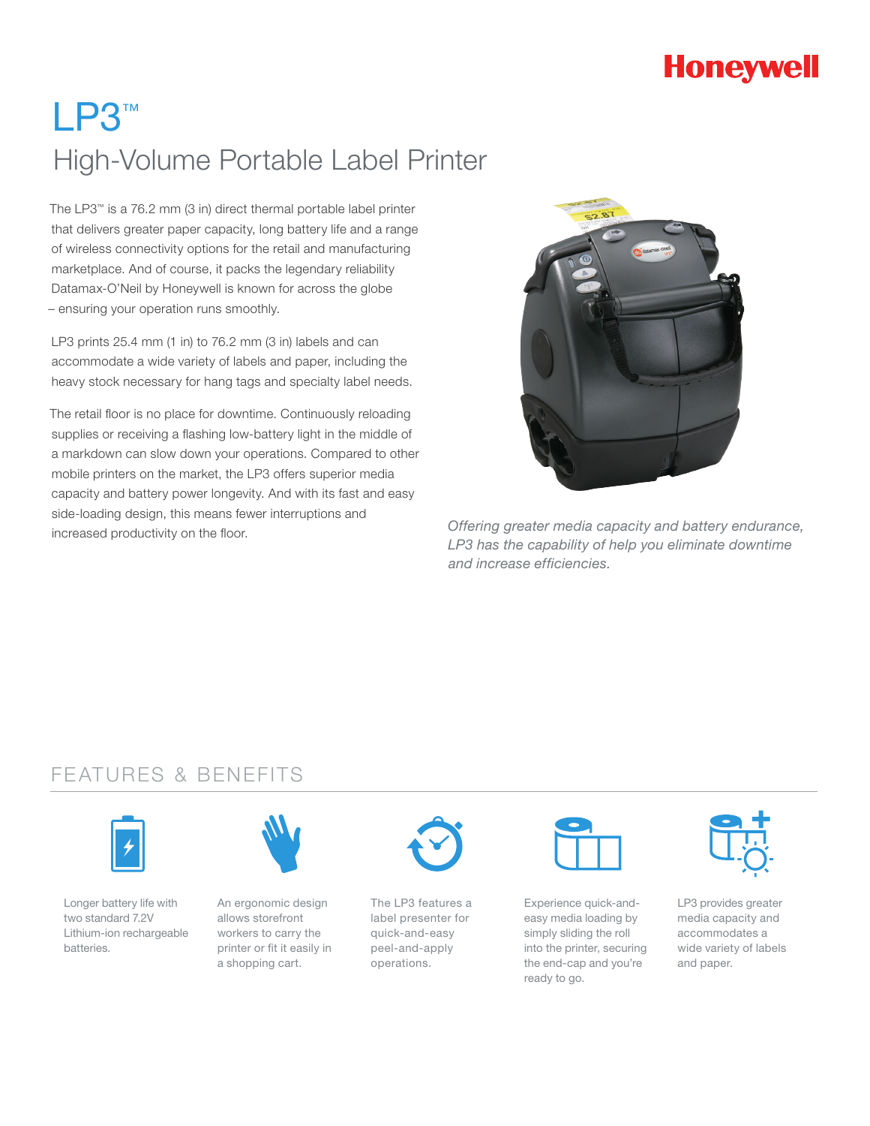# **Honeywell**

# LP3™ High-Volume Portable Label Printer

The LP3™ is a 76.2 mm (3 in) direct thermal portable label printer that delivers greater paper capacity, long battery life and a range of wireless connectivity options for the retail and manufacturing marketplace. And of course, it packs the legendary reliability Datamax-O'Neil by Honeywell is known for across the globe – ensuring your operation runs smoothly.

LP3 prints 25.4 mm (1 in) to 76.2 mm (3 in) labels and can accommodate a wide variety of labels and paper, including the heavy stock necessary for hang tags and specialty label needs.

The retail floor is no place for downtime. Continuously reloading supplies or receiving a flashing low-battery light in the middle of a markdown can slow down your operations. Compared to other mobile printers on the market, the LP3 offers superior media capacity and battery power longevity. And with its fast and easy side-loading design, this means fewer interruptions and increased productivity on the floor.



*Offering greater media capacity and battery endurance, LP3 has the capability of help you eliminate downtime and increase efficiencies.*

### FEATURES & BENEFITS



Longer battery life with two standard 7.2V Lithium-ion rechargeable batteries.



An ergonomic design allows storefront workers to carry the printer or fit it easily in a shopping cart.



The LP3 features a label presenter for quick-and-easy peel-and-apply operations.



Experience quick-andeasy media loading by simply sliding the roll into the printer, securing the end-cap and you're ready to go.



LP3 provides greater media capacity and accommodates a wide variety of labels and paper.